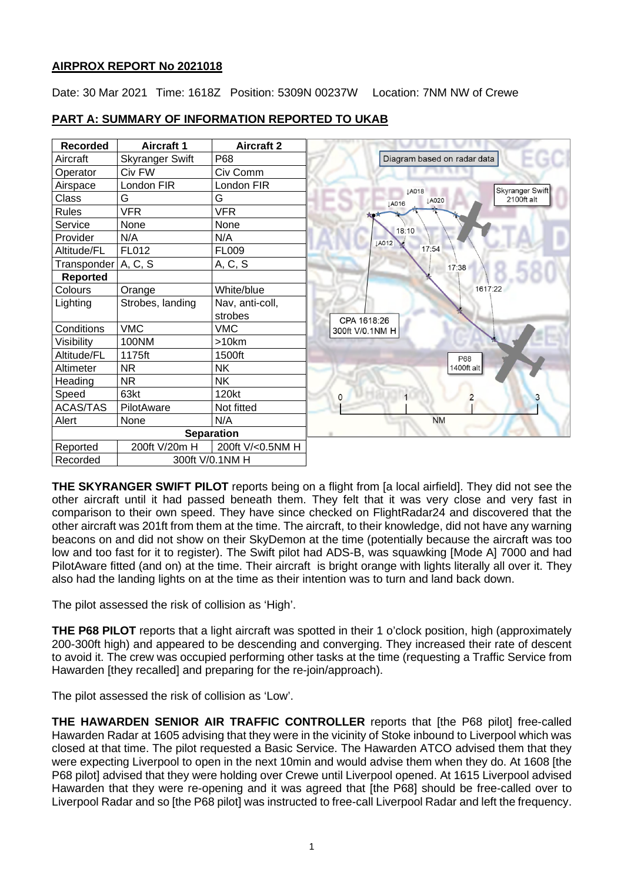# **AIRPROX REPORT No 2021018**

Date: 30 Mar 2021 Time: 1618Z Position: 5309N 00237W Location: 7NM NW of Crewe

| <b>Recorded</b>             | <b>Aircraft 1</b>      | <b>Aircraft 2</b> |                                            |
|-----------------------------|------------------------|-------------------|--------------------------------------------|
| Aircraft                    | <b>Skyranger Swift</b> | P68               | Diagram based on radar data                |
| Operator                    | Civ FW                 | Civ Comm          |                                            |
| Airspace                    | London FIR             | London FIR        | Skyranger Swift<br>LA018                   |
| Class                       | G                      | G                 | 2100ft alt<br><b>JA020</b><br><b>JA016</b> |
| <b>Rules</b>                | <b>VFR</b>             | <b>VFR</b>        | <b>XO</b>                                  |
| Service                     | None                   | None              | 18:10                                      |
| Provider                    | N/A                    | N/A               | <b>JA012</b>                               |
| Altitude/FL                 | FL012                  | <b>FL009</b>      | 17:54                                      |
| Transponder   A, C, S       |                        | A, C, S           | 17:38                                      |
| <b>Reported</b>             |                        |                   |                                            |
| Colours                     | Orange                 | White/blue        | 1617:22                                    |
| Lighting                    | Strobes, landing       | Nav, anti-coll,   |                                            |
|                             |                        | strobes           | CPA 1618:26                                |
| Conditions                  | <b>VMC</b>             | <b>VMC</b>        | 300ft V/0.1NM H                            |
| Visibility                  | 100NM                  | $>10$ km          |                                            |
| Altitude/FL                 | 1175ft                 | 1500ft            | P68                                        |
| Altimeter                   | <b>NR</b>              | <b>NK</b>         | 1400ft alt                                 |
| Heading                     | <b>NR</b>              | NK                |                                            |
| Speed                       | 63kt                   | 120kt             | 0                                          |
| <b>ACAS/TAS</b>             | PilotAware             | Not fitted        |                                            |
| Alert                       | None                   | N/A               | <b>NM</b>                                  |
| <b>Separation</b>           |                        |                   |                                            |
| Reported                    | 200ft V/20m H          | 200ft V/<0.5NM H  |                                            |
| Recorded<br>300ft V/0.1NM H |                        |                   |                                            |

# **PART A: SUMMARY OF INFORMATION REPORTED TO UKAB**

**THE SKYRANGER SWIFT PILOT** reports being on a flight from [a local airfield]. They did not see the other aircraft until it had passed beneath them. They felt that it was very close and very fast in comparison to their own speed. They have since checked on FlightRadar24 and discovered that the other aircraft was 201ft from them at the time. The aircraft, to their knowledge, did not have any warning beacons on and did not show on their SkyDemon at the time (potentially because the aircraft was too low and too fast for it to register). The Swift pilot had ADS-B, was squawking [Mode A] 7000 and had PilotAware fitted (and on) at the time. Their aircraft is bright orange with lights literally all over it. They also had the landing lights on at the time as their intention was to turn and land back down.

The pilot assessed the risk of collision as 'High'.

**THE P68 PILOT** reports that a light aircraft was spotted in their 1 o'clock position, high (approximately 200-300ft high) and appeared to be descending and converging. They increased their rate of descent to avoid it. The crew was occupied performing other tasks at the time (requesting a Traffic Service from Hawarden [they recalled] and preparing for the re-join/approach).

The pilot assessed the risk of collision as 'Low'.

**THE HAWARDEN SENIOR AIR TRAFFIC CONTROLLER** reports that [the P68 pilot] free-called Hawarden Radar at 1605 advising that they were in the vicinity of Stoke inbound to Liverpool which was closed at that time. The pilot requested a Basic Service. The Hawarden ATCO advised them that they were expecting Liverpool to open in the next 10min and would advise them when they do. At 1608 [the P68 pilot] advised that they were holding over Crewe until Liverpool opened. At 1615 Liverpool advised Hawarden that they were re-opening and it was agreed that [the P68] should be free-called over to Liverpool Radar and so [the P68 pilot] was instructed to free-call Liverpool Radar and left the frequency.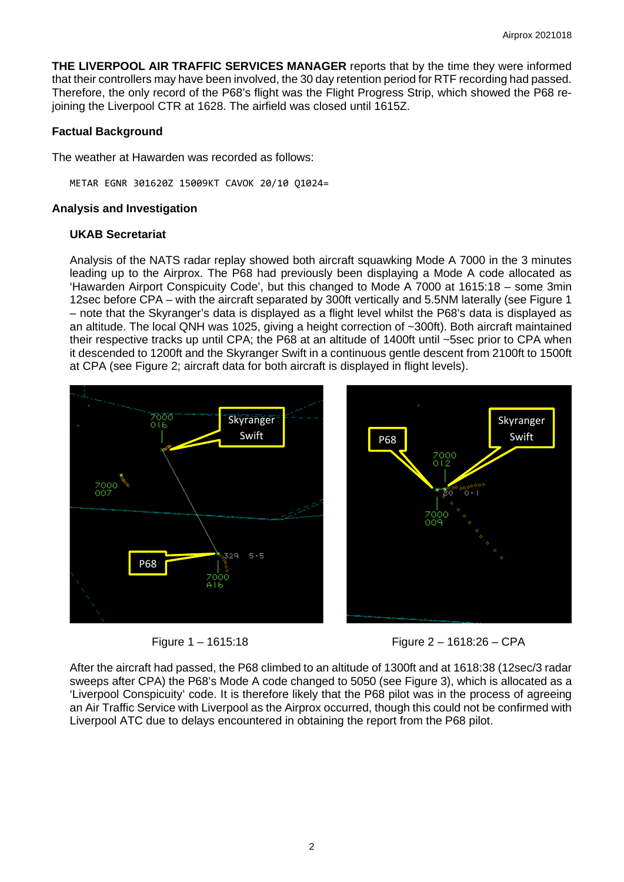**THE LIVERPOOL AIR TRAFFIC SERVICES MANAGER** reports that by the time they were informed that their controllers may have been involved, the 30 day retention period for RTF recording had passed. Therefore, the only record of the P68's flight was the Flight Progress Strip, which showed the P68 rejoining the Liverpool CTR at 1628. The airfield was closed until 1615Z.

### **Factual Background**

The weather at Hawarden was recorded as follows:

METAR EGNR 301620Z 15009KT CAVOK 20/10 Q1024=

#### **Analysis and Investigation**

#### **UKAB Secretariat**

Analysis of the NATS radar replay showed both aircraft squawking Mode A 7000 in the 3 minutes leading up to the Airprox. The P68 had previously been displaying a Mode A code allocated as 'Hawarden Airport Conspicuity Code', but this changed to Mode A 7000 at 1615:18 – some 3min 12sec before CPA – with the aircraft separated by 300ft vertically and 5.5NM laterally (see Figure 1 – note that the Skyranger's data is displayed as a flight level whilst the P68's data is displayed as an altitude. The local QNH was 1025, giving a height correction of ~300ft). Both aircraft maintained their respective tracks up until CPA; the P68 at an altitude of 1400ft until ~5sec prior to CPA when it descended to 1200ft and the Skyranger Swift in a continuous gentle descent from 2100ft to 1500ft at CPA (see Figure 2; aircraft data for both aircraft is displayed in flight levels).





After the aircraft had passed, the P68 climbed to an altitude of 1300ft and at 1618:38 (12sec/3 radar sweeps after CPA) the P68's Mode A code changed to 5050 (see Figure 3), which is allocated as a 'Liverpool Conspicuity' code. It is therefore likely that the P68 pilot was in the process of agreeing an Air Traffic Service with Liverpool as the Airprox occurred, though this could not be confirmed with Liverpool ATC due to delays encountered in obtaining the report from the P68 pilot.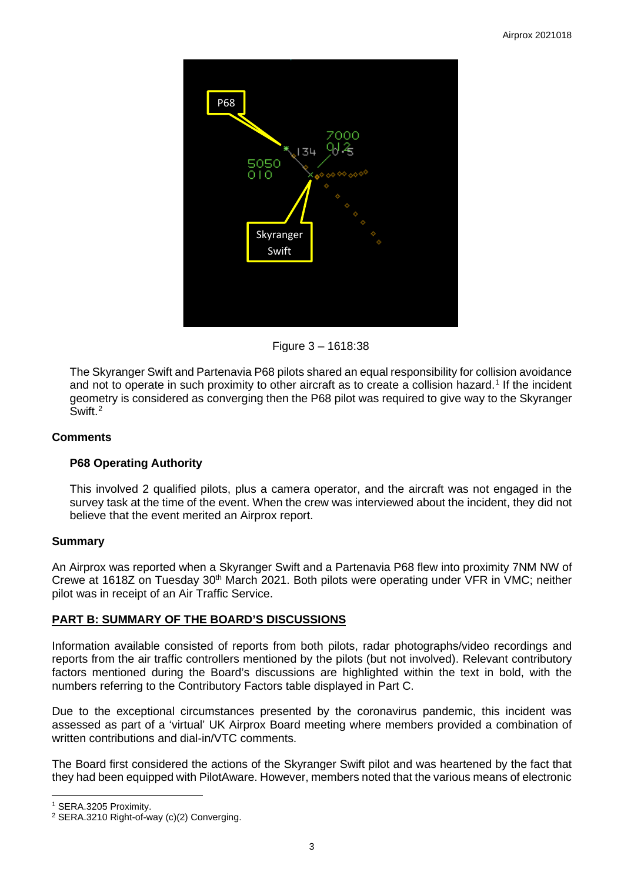

Figure 3 – 1618:38

The Skyranger Swift and Partenavia P68 pilots shared an equal responsibility for collision avoidance and not to operate in such proximity to other aircraft as to create a collision hazard. [1](#page-2-0) If the incident geometry is considered as converging then the P68 pilot was required to give way to the Skyranger Swift. [2](#page-2-1)

## **Comments**

## **P68 Operating Authority**

This involved 2 qualified pilots, plus a camera operator, and the aircraft was not engaged in the survey task at the time of the event. When the crew was interviewed about the incident, they did not believe that the event merited an Airprox report.

## **Summary**

An Airprox was reported when a Skyranger Swift and a Partenavia P68 flew into proximity 7NM NW of Crewe at 1618Z on Tuesday 30th March 2021. Both pilots were operating under VFR in VMC; neither pilot was in receipt of an Air Traffic Service.

## **PART B: SUMMARY OF THE BOARD'S DISCUSSIONS**

Information available consisted of reports from both pilots, radar photographs/video recordings and reports from the air traffic controllers mentioned by the pilots (but not involved). Relevant contributory factors mentioned during the Board's discussions are highlighted within the text in bold, with the numbers referring to the Contributory Factors table displayed in Part C.

Due to the exceptional circumstances presented by the coronavirus pandemic, this incident was assessed as part of a 'virtual' UK Airprox Board meeting where members provided a combination of written contributions and dial-in/VTC comments.

The Board first considered the actions of the Skyranger Swift pilot and was heartened by the fact that they had been equipped with PilotAware. However, members noted that the various means of electronic

<span id="page-2-0"></span><sup>1</sup> SERA.3205 Proximity.

<span id="page-2-1"></span><sup>&</sup>lt;sup>2</sup> SERA.3210 Right-of-way (c)(2) Converging.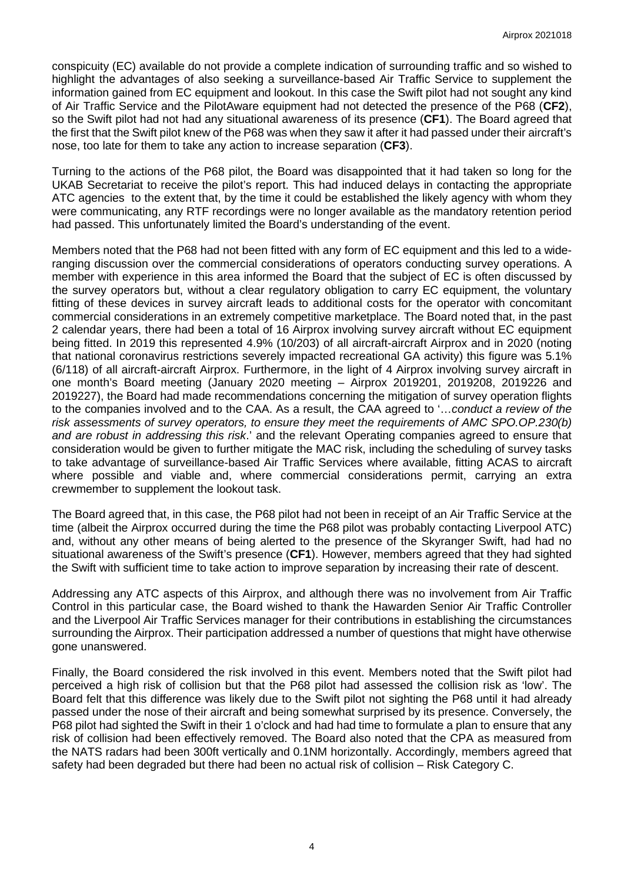conspicuity (EC) available do not provide a complete indication of surrounding traffic and so wished to highlight the advantages of also seeking a surveillance-based Air Traffic Service to supplement the information gained from EC equipment and lookout. In this case the Swift pilot had not sought any kind of Air Traffic Service and the PilotAware equipment had not detected the presence of the P68 (**CF2**), so the Swift pilot had not had any situational awareness of its presence (**CF1**). The Board agreed that the first that the Swift pilot knew of the P68 was when they saw it after it had passed under their aircraft's nose, too late for them to take any action to increase separation (**CF3**).

Turning to the actions of the P68 pilot, the Board was disappointed that it had taken so long for the UKAB Secretariat to receive the pilot's report. This had induced delays in contacting the appropriate ATC agencies to the extent that, by the time it could be established the likely agency with whom they were communicating, any RTF recordings were no longer available as the mandatory retention period had passed. This unfortunately limited the Board's understanding of the event.

Members noted that the P68 had not been fitted with any form of EC equipment and this led to a wideranging discussion over the commercial considerations of operators conducting survey operations. A member with experience in this area informed the Board that the subject of EC is often discussed by the survey operators but, without a clear regulatory obligation to carry EC equipment, the voluntary fitting of these devices in survey aircraft leads to additional costs for the operator with concomitant commercial considerations in an extremely competitive marketplace. The Board noted that, in the past 2 calendar years, there had been a total of 16 Airprox involving survey aircraft without EC equipment being fitted. In 2019 this represented 4.9% (10/203) of all aircraft-aircraft Airprox and in 2020 (noting that national coronavirus restrictions severely impacted recreational GA activity) this figure was 5.1% (6/118) of all aircraft-aircraft Airprox. Furthermore, in the light of 4 Airprox involving survey aircraft in one month's Board meeting (January 2020 meeting – Airprox 2019201, 2019208, 2019226 and 2019227), the Board had made recommendations concerning the mitigation of survey operation flights to the companies involved and to the CAA. As a result, the CAA agreed to '…*conduct a review of the risk assessments of survey operators, to ensure they meet the requirements of AMC SPO.OP.230(b) and are robust in addressing this risk*.' and the relevant Operating companies agreed to ensure that consideration would be given to further mitigate the MAC risk, including the scheduling of survey tasks to take advantage of surveillance-based Air Traffic Services where available, fitting ACAS to aircraft where possible and viable and, where commercial considerations permit, carrying an extra crewmember to supplement the lookout task.

The Board agreed that, in this case, the P68 pilot had not been in receipt of an Air Traffic Service at the time (albeit the Airprox occurred during the time the P68 pilot was probably contacting Liverpool ATC) and, without any other means of being alerted to the presence of the Skyranger Swift, had had no situational awareness of the Swift's presence (**CF1**). However, members agreed that they had sighted the Swift with sufficient time to take action to improve separation by increasing their rate of descent.

Addressing any ATC aspects of this Airprox, and although there was no involvement from Air Traffic Control in this particular case, the Board wished to thank the Hawarden Senior Air Traffic Controller and the Liverpool Air Traffic Services manager for their contributions in establishing the circumstances surrounding the Airprox. Their participation addressed a number of questions that might have otherwise gone unanswered.

Finally, the Board considered the risk involved in this event. Members noted that the Swift pilot had perceived a high risk of collision but that the P68 pilot had assessed the collision risk as 'low'. The Board felt that this difference was likely due to the Swift pilot not sighting the P68 until it had already passed under the nose of their aircraft and being somewhat surprised by its presence. Conversely, the P68 pilot had sighted the Swift in their 1 o'clock and had had time to formulate a plan to ensure that any risk of collision had been effectively removed. The Board also noted that the CPA as measured from the NATS radars had been 300ft vertically and 0.1NM horizontally. Accordingly, members agreed that safety had been degraded but there had been no actual risk of collision – Risk Category C.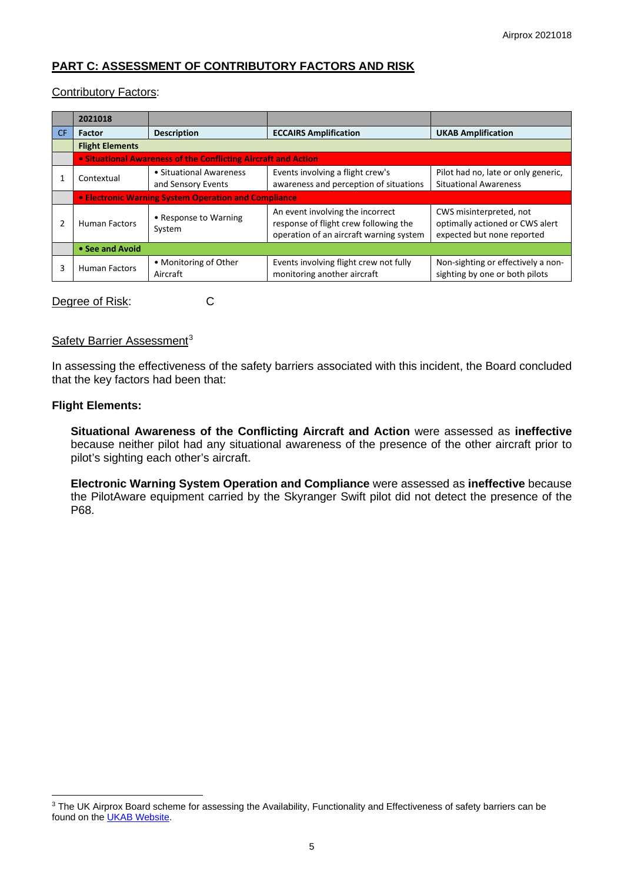# **PART C: ASSESSMENT OF CONTRIBUTORY FACTORS AND RISK**

#### Contributory Factors:

|     | 2021018                                                        |                                               |                                                                                                                      |                                                                                          |  |  |  |
|-----|----------------------------------------------------------------|-----------------------------------------------|----------------------------------------------------------------------------------------------------------------------|------------------------------------------------------------------------------------------|--|--|--|
| CF. | <b>Factor</b>                                                  | <b>Description</b>                            | <b>ECCAIRS Amplification</b>                                                                                         | <b>UKAB Amplification</b>                                                                |  |  |  |
|     | <b>Flight Elements</b>                                         |                                               |                                                                                                                      |                                                                                          |  |  |  |
|     | • Situational Awareness of the Conflicting Aircraft and Action |                                               |                                                                                                                      |                                                                                          |  |  |  |
|     | Contextual                                                     | • Situational Awareness<br>and Sensory Events | Events involving a flight crew's<br>awareness and perception of situations                                           | Pilot had no, late or only generic,<br><b>Situational Awareness</b>                      |  |  |  |
|     | <b>• Electronic Warning System Operation and Compliance</b>    |                                               |                                                                                                                      |                                                                                          |  |  |  |
|     | <b>Human Factors</b>                                           | • Response to Warning<br>System               | An event involving the incorrect<br>response of flight crew following the<br>operation of an aircraft warning system | CWS misinterpreted, not<br>optimally actioned or CWS alert<br>expected but none reported |  |  |  |
|     | • See and Avoid                                                |                                               |                                                                                                                      |                                                                                          |  |  |  |
| 3   | <b>Human Factors</b>                                           | • Monitoring of Other<br>Aircraft             | Events involving flight crew not fully<br>monitoring another aircraft                                                | Non-sighting or effectively a non-<br>sighting by one or both pilots                     |  |  |  |

Degree of Risk: C

### Safety Barrier Assessment<sup>[3](#page-4-0)</sup>

In assessing the effectiveness of the safety barriers associated with this incident, the Board concluded that the key factors had been that:

#### **Flight Elements:**

**Situational Awareness of the Conflicting Aircraft and Action** were assessed as **ineffective** because neither pilot had any situational awareness of the presence of the other aircraft prior to pilot's sighting each other's aircraft.

**Electronic Warning System Operation and Compliance** were assessed as **ineffective** because the PilotAware equipment carried by the Skyranger Swift pilot did not detect the presence of the P68.

<span id="page-4-0"></span><sup>&</sup>lt;sup>3</sup> The UK Airprox Board scheme for assessing the Availability, Functionality and Effectiveness of safety barriers can be found on the **UKAB Website**.